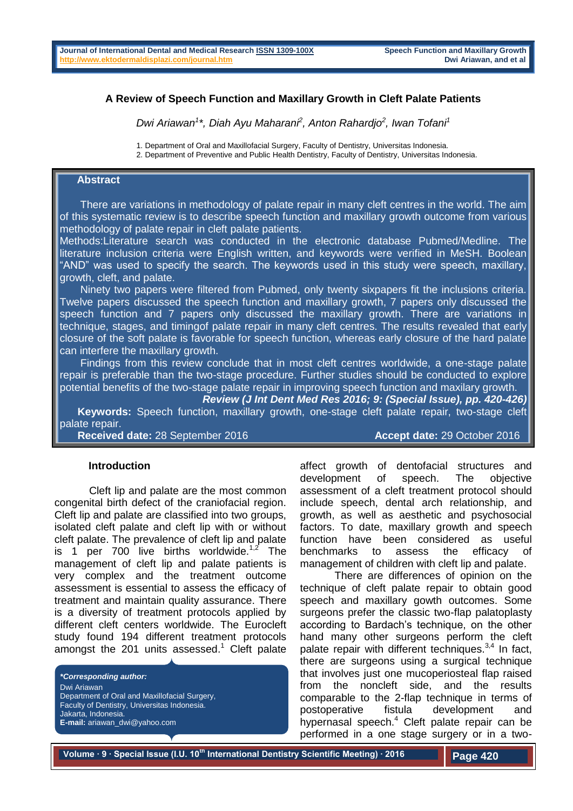### **A Review of Speech Function and Maxillary Growth in Cleft Palate Patients**

*Dwi Ariawan<sup>1</sup> \*, Diah Ayu Maharani<sup>2</sup> , Anton Rahardjo<sup>2</sup> , Iwan Tofani<sup>1</sup>*

1. Department of Oral and Maxillofacial Surgery, Faculty of Dentistry, Universitas Indonesia.

2. Department of Preventive and Public Health Dentistry, Faculty of Dentistry, Universitas Indonesia.

# **Abstract**

 There are variations in methodology of palate repair in many cleft centres in the world. The aim of this systematic review is to describe speech function and maxillary growth outcome from various methodology of palate repair in cleft palate patients.

Methods:Literature search was conducted in the electronic database Pubmed/Medline. The literature inclusion criteria were English written, and keywords were verified in MeSH. Boolean "AND" was used to specify the search. The keywords used in this study were speech, maxillary, growth, cleft, and palate.

 Ninety two papers were filtered from Pubmed, only twenty sixpapers fit the inclusions criteria. Twelve papers discussed the speech function and maxillary growth, 7 papers only discussed the speech function and 7 papers only discussed the maxillary growth. There are variations in technique, stages, and timingof palate repair in many cleft centres. The results revealed that early closure of the soft palate is favorable for speech function, whereas early closure of the hard palate can interfere the maxillary growth.

 Findings from this review conclude that in most cleft centres worldwide, a one-stage palate repair is preferable than the two-stage procedure. Further studies should be conducted to explore potential benefits of the two-stage palate repair in improving speech function and maxilary growth.

*Review (J Int Dent Med Res 2016; 9: (Special Issue), pp. 420-426)*   **Keywords:** Speech function, maxillary growth, one-stage cleft palate repair, two-stage cleft palate repair.

**Received date:** 28 September 2016 **Accept date:** 29 October 2016

#### **Introduction**

Cleft lip and palate are the most common congenital birth defect of the craniofacial region. Cleft lip and palate are classified into two groups, isolated cleft palate and cleft lip with or without cleft palate. The prevalence of cleft lip and palate is 1 per 700 live births worldwide. $1.2$  The management of cleft lip and palate patients is very complex and the treatment outcome assessment is essential to assess the efficacy of treatment and maintain quality assurance. There is a diversity of treatment protocols applied by different cleft centers worldwide. The Eurocleft study found 194 different treatment protocols amongst the 201 units assessed.<sup>1</sup> Cleft palate

*\*Corresponding author:* Dwi Ariawan Department of Oral and Maxillofacial Surgery, Faculty of Dentistry, Universitas Indonesia. Jakarta, Indonesia. **E-mail:** ariawan\_dwi@yahoo.com

affect growth of dentofacial structures and development of speech. The objective assessment of a cleft treatment protocol should include speech, dental arch relationship, and growth, as well as aesthetic and psychosocial factors. To date, maxillary growth and speech function have been considered as useful benchmarks to assess the efficacy of management of children with cleft lip and palate.

There are differences of opinion on the technique of cleft palate repair to obtain good speech and maxillary gowth outcomes. Some surgeons prefer the classic two-flap palatoplasty according to Bardach's technique, on the other hand many other surgeons perform the cleft palate repair with different techniques.<sup>3,4</sup> In fact, there are surgeons using a surgical technique that involves just one mucoperiosteal flap raised from the noncleft side, and the results comparable to the 2-flap technique in terms of postoperative fistula development and hypernasal speech.<sup>4</sup> Cleft palate repair can be performed in a one stage surgery or in a two-

**Volume ∙ 9 ∙ Special Issue (I.U. 10th International Dentistry Scientific Meeting) ∙ 2016**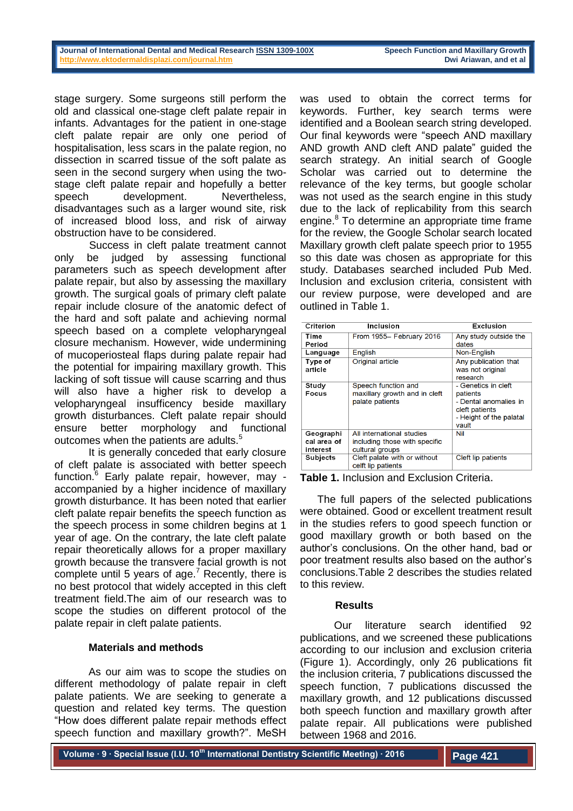stage surgery. Some surgeons still perform the old and classical one-stage cleft palate repair in infants. Advantages for the patient in one-stage cleft palate repair are only one period of hospitalisation, less scars in the palate region, no dissection in scarred tissue of the soft palate as seen in the second surgery when using the twostage cleft palate repair and hopefully a better speech development. Nevertheless, disadvantages such as a larger wound site, risk of increased blood loss, and risk of airway obstruction have to be considered.

Success in cleft palate treatment cannot only be judged by assessing functional parameters such as speech development after palate repair, but also by assessing the maxillary growth. The surgical goals of primary cleft palate repair include closure of the anatomic defect of the hard and soft palate and achieving normal speech based on a complete velopharyngeal closure mechanism. However, wide undermining of mucoperiosteal flaps during palate repair had the potential for impairing maxillary growth. This lacking of soft tissue will cause scarring and thus will also have a higher risk to develop a velopharyngeal insufficency beside maxillary growth disturbances. Cleft palate repair should ensure better morphology and functional outcomes when the patients are adults.<sup>5</sup>

It is generally conceded that early closure of cleft palate is associated with better speech function.<sup>6</sup> Early palate repair, however, may accompanied by a higher incidence of maxillary growth disturbance. It has been noted that earlier cleft palate repair benefits the speech function as the speech process in some children begins at 1 year of age. On the contrary, the late cleft palate repair theoretically allows for a proper maxillary growth because the transvere facial growth is not complete until 5 years of age.<sup>7</sup> Recently, there is no best protocol that widely accepted in this cleft treatment field.The aim of our research was to scope the studies on different protocol of the palate repair in cleft palate patients.

## **Materials and methods**

As our aim was to scope the studies on different methodology of palate repair in cleft palate patients. We are seeking to generate a question and related key terms. The question "How does different palate repair methods effect speech function and maxillary growth?". MeSH

was used to obtain the correct terms for keywords. Further, key search terms were identified and a Boolean search string developed. Our final keywords were "speech AND maxillary AND growth AND cleft AND palate" guided the search strategy. An initial search of Google Scholar was carried out to determine the relevance of the key terms, but google scholar was not used as the search engine in this study due to the lack of replicability from this search engine.<sup>8</sup> To determine an appropriate time frame for the review, the Google Scholar search located Maxillary growth cleft palate speech prior to 1955 so this date was chosen as appropriate for this study. Databases searched included Pub Med. Inclusion and exclusion criteria, consistent with our review purpose, were developed and are outlined in Table 1.

| Criterion                            | Inclusion                                                                     | Exclusion                                                                                                      |  |  |
|--------------------------------------|-------------------------------------------------------------------------------|----------------------------------------------------------------------------------------------------------------|--|--|
| Time<br>Period                       | From 1955- February 2016                                                      | Any study outside the<br>dates                                                                                 |  |  |
| Language                             | English                                                                       | Non-English                                                                                                    |  |  |
| Type of<br>article                   | Original article                                                              | Any publication that<br>was not original<br>research                                                           |  |  |
| Study<br>Focus                       | Speech function and<br>maxillary growth and in cleft<br>palate patients       | - Genetics in cleft<br>patients<br>- Dental anomalies in<br>cleft patients<br>- Height of the palatal<br>vault |  |  |
| Geographi<br>cal area of<br>interest | All international studies<br>including those with specific<br>cultural groups | Nil                                                                                                            |  |  |
| Subjects                             | Cleft palate with or without<br>celft lip patients                            | Cleft lip patients                                                                                             |  |  |

**Table 1.** Inclusion and Exclusion Criteria.

The full papers of the selected publications were obtained. Good or excellent treatment result in the studies refers to good speech function or good maxillary growth or both based on the author's conclusions. On the other hand, bad or poor treatment results also based on the author's conclusions.Table 2 describes the studies related to this review.

#### **Results**

Our literature search identified 92 publications, and we screened these publications according to our inclusion and exclusion criteria (Figure 1). Accordingly, only 26 publications fit the inclusion criteria, 7 publications discussed the speech function, 7 publications discussed the maxillary growth, and 12 publications discussed both speech function and maxillary growth after palate repair. All publications were published between 1968 and 2016.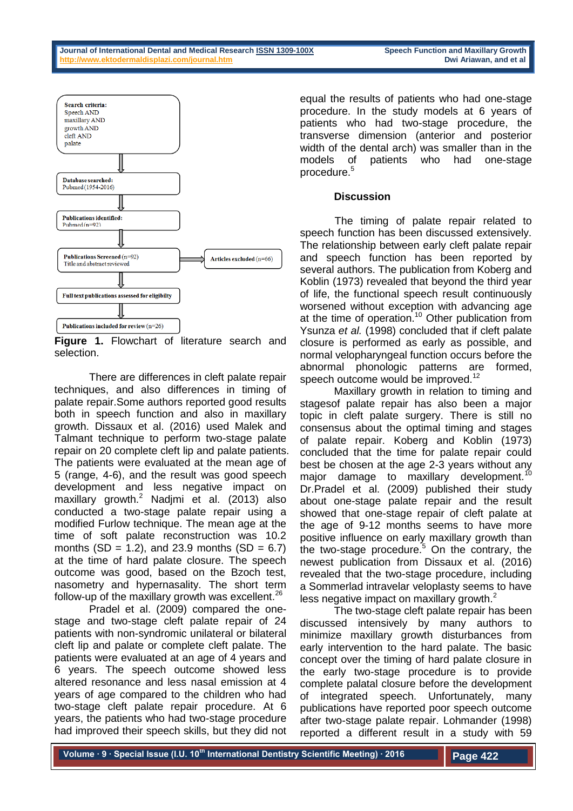

**Figure 1.** Flowchart of literature search and selection.

There are differences in cleft palate repair techniques, and also differences in timing of palate repair.Some authors reported good results both in speech function and also in maxillary growth. Dissaux et al. (2016) used Malek and Talmant technique to perform two-stage palate repair on 20 complete cleft lip and palate patients. The patients were evaluated at the mean age of 5 (range, 4-6), and the result was good speech development and less negative impact on maxillary growth.<sup>2</sup> Nadjmi et al. (2013) also conducted a two-stage palate repair using a modified Furlow technique. The mean age at the time of soft palate reconstruction was 10.2 months  $(SD = 1.2)$ , and 23.9 months  $(SD = 6.7)$ at the time of hard palate closure. The speech outcome was good, based on the Bzoch test, nasometry and hypernasality. The short term follow-up of the maxillary growth was excellent.  $26$ 

Pradel et al. (2009) compared the onestage and two-stage cleft palate repair of 24 patients with non-syndromic unilateral or bilateral cleft lip and palate or complete cleft palate. The patients were evaluated at an age of 4 years and 6 years. The speech outcome showed less altered resonance and less nasal emission at 4 years of age compared to the children who had two-stage cleft palate repair procedure. At 6 years, the patients who had two-stage procedure had improved their speech skills, but they did not

equal the results of patients who had one-stage procedure. In the study models at 6 years of patients who had two-stage procedure, the transverse dimension (anterior and posterior width of the dental arch) was smaller than in the models of patients who had one-stage procedure.<sup>5</sup>

## **Discussion**

The timing of palate repair related to speech function has been discussed extensively. The relationship between early cleft palate repair and speech function has been reported by several authors. The publication from Koberg and Koblin (1973) revealed that beyond the third year of life, the functional speech result continuously worsened without exception with advancing age at the time of operation.<sup>10</sup> Other publication from Ysunza *et al.* (1998) concluded that if cleft palate closure is performed as early as possible, and normal velopharyngeal function occurs before the abnormal phonologic patterns are formed, speech outcome would be improved.<sup>12</sup>

Maxillary growth in relation to timing and stagesof palate repair has also been a major topic in cleft palate surgery. There is still no consensus about the optimal timing and stages of palate repair. Koberg and Koblin (1973) concluded that the time for palate repair could best be chosen at the age 2-3 years without any major damage to maxillary development.<sup>10</sup> Dr.Pradel et al. (2009) published their study about one-stage palate repair and the result showed that one-stage repair of cleft palate at the age of 9-12 months seems to have more positive influence on early maxillary growth than the two-stage procedure.<sup>5</sup> On the contrary, the newest publication from Dissaux et al. (2016) revealed that the two-stage procedure, including a Sommerlad intravelar veloplasty seems to have less negative impact on maxillary growth.<sup>2</sup>

The two-stage cleft palate repair has been discussed intensively by many authors to minimize maxillary growth disturbances from early intervention to the hard palate. The basic concept over the timing of hard palate closure in the early two-stage procedure is to provide complete palatal closure before the development of integrated speech. Unfortunately, many publications have reported poor speech outcome after two-stage palate repair. Lohmander (1998) reported a different result in a study with 59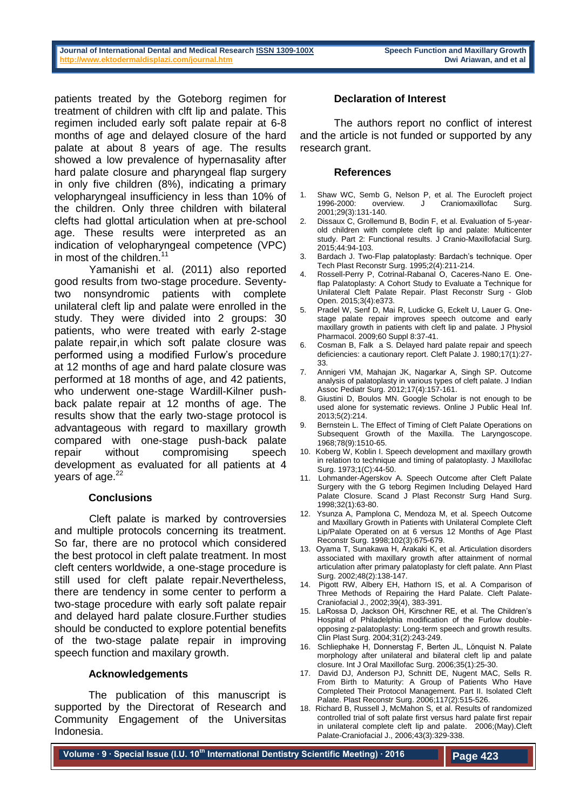#### **Journal of International Dental and Medical Research ISSN 1309-100X Speech Function and Maxillary Growth http://www.ektodermaldisplazi.com/journal.htm and the community of all and the community of all and et all and et all and et all and et all and et all and et all and et all and et all and et all and et all and et all and**

patients treated by the Goteborg regimen for treatment of children with clft lip and palate. This regimen included early soft palate repair at 6-8 months of age and delayed closure of the hard palate at about 8 years of age. The results showed a low prevalence of hypernasality after hard palate closure and pharyngeal flap surgery in only five children (8%), indicating a primary velopharyngeal insufficiency in less than 10% of the children. Only three children with bilateral clefts had glottal articulation when at pre-school age. These results were interpreted as an indication of velopharyngeal competence (VPC) in most of the children.<sup>11</sup>

Yamanishi et al. (2011) also reported good results from two-stage procedure. Seventytwo nonsyndromic patients with complete unilateral cleft lip and palate were enrolled in the study. They were divided into 2 groups: 30 patients, who were treated with early 2-stage palate repair,in which soft palate closure was performed using a modified Furlow's procedure at 12 months of age and hard palate closure was performed at 18 months of age, and 42 patients, who underwent one-stage Wardill-Kilner pushback palate repair at 12 months of age. The results show that the early two-stage protocol is advantageous with regard to maxillary growth compared with one-stage push-back palate repair without compromising speech development as evaluated for all patients at 4 years of age.<sup>22</sup>

## **Conclusions**

Cleft palate is marked by controversies and multiple protocols concerning its treatment. So far, there are no protocol which considered the best protocol in cleft palate treatment. In most cleft centers worldwide, a one-stage procedure is still used for cleft palate repair.Nevertheless, there are tendency in some center to perform a two-stage procedure with early soft palate repair and delayed hard palate closure.Further studies should be conducted to explore potential benefits of the two-stage palate repair in improving speech function and maxilary growth.

## **Acknowledgements**

The publication of this manuscript is supported by the Directorat of Research and Community Engagement of the Universitas Indonesia.

## **Declaration of Interest**

The authors report no conflict of interest and the article is not funded or supported by any research grant.

#### **References**

- Shaw WC, Semb G, Nelson P, et al. The Eurocleft project 1996-2000: overview. J Craniomaxillofac Surg. 1996-2000: overview. J Craniomaxillofac Surg. 2001;29(3):131-140.
- 2. Dissaux C, Grollemund B, Bodin F, et al. Evaluation of 5-yearold children with complete cleft lip and palate: Multicenter study. Part 2: Functional results. J Cranio-Maxillofacial Surg. 2015;44:94-103.
- 3. Bardach J. Two-Flap palatoplasty: Bardach's technique. Oper Tech Plast Reconstr Surg. 1995;2(4):211-214.
- 4. Rossell-Perry P, Cotrinal-Rabanal O, Caceres-Nano E. Oneflap Palatoplasty: A Cohort Study to Evaluate a Technique for Unilateral Cleft Palate Repair. Plast Reconstr Surg - Glob Open. 2015;3(4):e373.
- 5. Pradel W, Senf D, Mai R, Ludicke G, Eckelt U, Lauer G. Onestage palate repair improves speech outcome and early maxillary growth in patients with cleft lip and palate. J Physiol Pharmacol. 2009;60 Suppl 8:37-41.
- 6. Cosman B, Falk a S. Delayed hard palate repair and speech deficiencies: a cautionary report. Cleft Palate J. 1980;17(1):27- 33.
- 7. Annigeri VM, Mahajan JK, Nagarkar A, Singh SP. Outcome analysis of palatoplasty in various types of cleft palate. J Indian Assoc Pediatr Surg. 2012;17(4):157-161.
- 8. Giustini D, Boulos MN. Google Scholar is not enough to be used alone for systematic reviews. Online J Public Heal Inf. 2013;5(2):214.
- 9. Bernstein L. The Effect of Timing of Cleft Palate Operations on Subsequent Growth of the Maxilla. The Laryngoscope. 1968;78(9):1510-65.
- 10. Koberg W, Koblin I. Speech development and maxillary growth in relation to technique and timing of palatoplasty. J Maxillofac Surg. 1973;1(C):44-50.
- 11. Lohmander-Agerskov A. Speech Outcome after Cleft Palate Surgery with the G teborg Regimen Including Delayed Hard Palate Closure. Scand J Plast Reconstr Surg Hand Surg. 1998;32(1):63-80.
- 12. Ysunza A, Pamplona C, Mendoza M, et al. Speech Outcome and Maxillary Growth in Patients with Unilateral Complete Cleft Lip/Palate Operated on at 6 versus 12 Months of Age Plast Reconstr Surg. 1998;102(3):675-679.
- 13. Oyama T, Sunakawa H, Arakaki K, et al. Articulation disorders associated with maxillary growth after attainment of normal articulation after primary palatoplasty for cleft palate. Ann Plast Surg. 2002;48(2):138-147.
- 14. Pigott RW, Albery EH, Hathorn IS, et al. A Comparison of Three Methods of Repairing the Hard Palate. Cleft Palate-Craniofacial J., 2002;39(4), 383-391.
- 15. LaRossa D, Jackson OH, Kirschner RE, et al. The Children's Hospital of Philadelphia modification of the Furlow doubleopposing z-palatoplasty: Long-term speech and growth results. Clin Plast Surg. 2004;31(2):243-249.
- 16. Schliephake H, Donnerstag F, Berten JL, Lönquist N. Palate morphology after unilateral and bilateral cleft lip and palate closure. Int J Oral Maxillofac Surg. 2006;35(1):25-30.
- 17. David DJ, Anderson PJ, Schnitt DE, Nugent MAC, Sells R. From Birth to Maturity: A Group of Patients Who Have Completed Their Protocol Management. Part II. Isolated Cleft Palate. Plast Reconstr Surg. 2006;117(2):515-526.
- 18. Richard B, Russell J, McMahon S, et al. Results of randomized controlled trial of soft palate first versus hard palate first repair in unilateral complete cleft lip and palate. 2006;(May).Cleft Palate-Craniofacial J., 2006;43(3):329-338.

**Volume ∙ 9 ∙ Special Issue (I.U. 10th International Dentistry Scientific Meeting) ∙ 2016**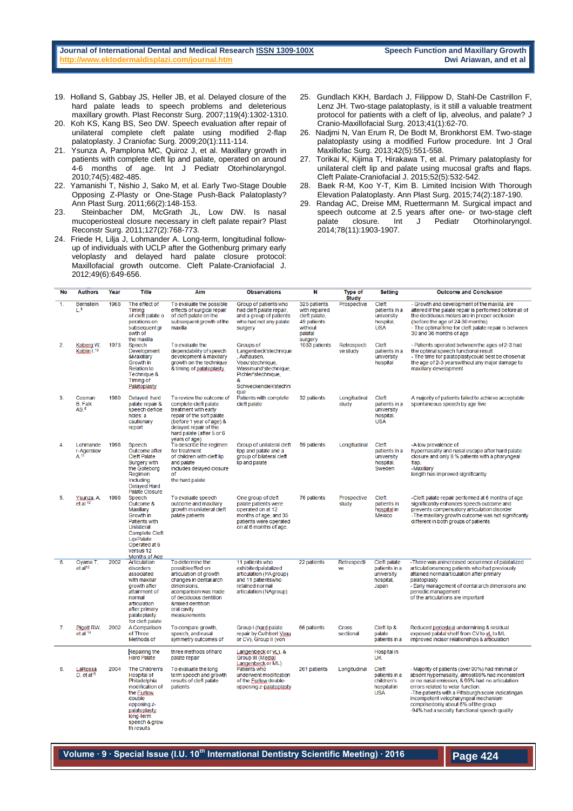#### **Journal of International Dental and Medical Research ISSN 1309-100X Speech Function and Maxillary Growth http://www.ektodermaldisplazi.com/journal.htm and the community of all and the community of all and et all and the community of all and the community of all and et all and et all and et all and et all and et all and et al**

- 19. Holland S, Gabbay JS, Heller JB, et al. Delayed closure of the hard palate leads to speech problems and deleterious maxillary growth. Plast Reconstr Surg. 2007;119(4):1302-1310.
- 20. Koh KS, Kang BS, Seo DW. Speech evaluation after repair of unilateral complete cleft palate using modified 2-flap palatoplasty. J Craniofac Surg. 2009;20(1):111-114.
- 21. Ysunza A, Pamplona MC, Quiroz J, et al. Maxillary growth in patients with complete cleft lip and palate, operated on around 4-6 months of age. Int J Pediatr Otorhinolaryngol. 2010;74(5):482-485.
- 22. Yamanishi T, Nishio J, Sako M, et al. Early Two-Stage Double Opposing Z-Plasty or One-Stage Push-Back Palatoplasty? Ann Plast Surg. 2011;66(2):148-153.
- 23. Steinbacher DM, McGrath JL, Low DW. Is nasal mucoperiosteal closure necessary in cleft palate repair? Plast Reconstr Surg. 2011;127(2):768-773.
- 24. Friede H, Lilja J, Lohmander A. Long-term, longitudinal followup of individuals with UCLP after the Gothenburg primary early veloplasty and delayed hard palate closure protocol: Maxillofacial growth outcome. Cleft Palate-Craniofacial J. 2012;49(6):649-656.
- 25. Gundlach KKH, Bardach J, Filippow D, Stahl-De Castrillon F, Lenz JH. Two-stage palatoplasty, is it still a valuable treatment protocol for patients with a cleft of lip, alveolus, and palate? J Cranio-Maxillofacial Surg. 2013;41(1):62-70.
- 26. Nadjmi N, Van Erum R, De Bodt M, Bronkhorst EM. Two-stage palatoplasty using a modified Furlow procedure. Int J Oral Maxillofac Surg. 2013;42(5):551-558.
- 27. Torikai K, Kijima T, Hirakawa T, et al. Primary palatoplasty for unilateral cleft lip and palate using mucosal grafts and flaps. Cleft Palate-Craniofacial J. 2015;52(5):532-542.
- 28. Baek R-M, Koo Y-T, Kim B. Limited Incision With Thorough Elevation Palatoplasty. Ann Plast Surg. 2015;74(2):187-190.
- 29. Randag AC, Dreise MM, Ruettermann M. Surgical impact and speech outcome at 2.5 years after one- or two-stage cleft<br>palate closure. Int J Pediatr Otorhinolaryngol. palate closure. Int J Pediatr Otorhinolaryngol. 2014;78(11):1903-1907.

| No             | <b>Authors</b>                               | Year | Title                                                                                                                                                                              | Aim                                                                                                                                                                                                          | <b>Observations</b>                                                                                                                                | N                                                                                              | <b>Type of</b><br><b>Study</b> | <b>Setting</b>                                                    | <b>Outcome and Conclusion</b>                                                                                                                                                                                                                                                                                                                                                      |
|----------------|----------------------------------------------|------|------------------------------------------------------------------------------------------------------------------------------------------------------------------------------------|--------------------------------------------------------------------------------------------------------------------------------------------------------------------------------------------------------------|----------------------------------------------------------------------------------------------------------------------------------------------------|------------------------------------------------------------------------------------------------|--------------------------------|-------------------------------------------------------------------|------------------------------------------------------------------------------------------------------------------------------------------------------------------------------------------------------------------------------------------------------------------------------------------------------------------------------------------------------------------------------------|
| $\overline{1}$ | <b>Bernstein</b><br>L. <sup>9</sup>          | 1968 | The effect of<br>Timing<br>of cleft palate o<br>perations on<br>subsequent gr<br>owth of<br>the maxilla                                                                            | To evaluate the possible<br>effects of surgical repair<br>of cleft palate on the<br>subsequent growth of the<br>maxilla                                                                                      | Group of patients who<br>had cleft palate repair,<br>and a group of patients<br>who had not any palate<br>surgery                                  | 325 patients<br>with repaired<br>cleft palate,<br>49 patients<br>without<br>palatal<br>surgery | Prospective                    | Cleft<br>patients in a<br>university<br>hospital,<br><b>USA</b>   | - Growth and development of the maxilla, are<br>altered if the palate repair is performed before all of<br>the deciduous molars are in proper occlusion<br>(before the age of 24-30 months)<br>- The optimal time for cleft palate repair is between<br>30 and 36 months of age                                                                                                    |
| 2.             | Koberg W.<br>Koblin I. <sup>10</sup>         | 1973 | Speech<br><b>Development</b><br>&Maxillary<br>Growth in<br><b>Relation to</b><br>Technique &<br><b>Timing of</b><br>Palatoplasty                                                   | To evaluate the<br>dependability of speech<br>development & maxillary<br>growth on the technique<br>& timing of palatoplasty                                                                                 | Groups of<br>Langenbeck'stechnique<br>, Axhausen,<br>Veau'stechnique,<br>Wassmund'stechnique,<br>Pichler'stechnique,<br>8<br>Schweckendiek'stechni | 1033 patients                                                                                  | Retrospecti<br>ve study        | Cleft<br>patients in a<br>university<br>hospital                  | - Patients operated between the ages of 2-3 had<br>the optimal speech functional result<br>- The time for palatoplastycould best be chosen at<br>the age of 2-3 yearswithout any major damage to<br>maxillary development                                                                                                                                                          |
| 3              | Cosman<br><b>B.</b> Falk<br>AS. <sup>6</sup> | 1980 | Delayed hard<br>palate repair &<br>speech deficie<br>ncies: a<br>cautionary<br>report                                                                                              | To review the outcome of<br>complete cleft palate<br>treatment with early<br>repair of the soft palate<br>(before 1 year of age) &<br>delayed repair of the<br>hard palate (after 5 or 6<br>years of age)    | que<br>Patients with complete<br>cleft palate                                                                                                      | 32 patients                                                                                    | Longitudinal<br>study          | Cleft<br>patients in a<br>university<br>hospital.<br><b>USA</b>   | A majority of patients failed to achieve acceptable<br>spontaneous speech by age five                                                                                                                                                                                                                                                                                              |
| 4              | Lohmande<br>r-Agerskov<br>A <sup>11</sup>    | 1998 | Speech<br>Outcome after<br><b>Cleft Palate</b><br>Surgery with<br>the Goteborg<br>Regimen<br>Including<br><b>Delaved Hard</b><br><b>Palate Closure</b>                             | To describe the regimen<br>for treatment<br>of children with cleft lip<br>and palate<br>includes delayed closure<br><sub>of</sub><br>the hard palate                                                         | Group of unilateral cleft<br>lipp and palate and a<br>group of bilateral cleft<br>lip and palate                                                   | 59 patients                                                                                    | Longitudinal                   | Cleft<br>patients in a<br>university<br>hospital,<br>Sweden       | -A low prevalence of<br>hypernasality and nasal escape after hard palate<br>closure and only 8 % patients with a pharyngeal<br>flap.<br>-Maxillary<br>length has improved significantly                                                                                                                                                                                            |
| 5              | Ysunza, A.<br>et al <sup>12</sup>            | 1998 | Speech<br>Outcome &<br><b>Maxillary</b><br>Growth in<br><b>Patients with</b><br>Unilateral<br><b>Complete Cleft</b><br>Lip/Palate<br>Operated at 6<br>versus 12<br>Months of Age   | To evaluate speech<br>outcome and maxillary<br>growth in unilateral cleft<br>palate patients                                                                                                                 | One group of cleft<br>palate patients were<br>operated on at 12<br>months of age, and 35<br>patients were operated<br>on at 6 months of age.       | 76 patients                                                                                    | Prospective<br>study           | Cleft<br>patients in<br>hospital in<br><b>Mexico</b>              | -Cleft palate repair performed at 6 months of age<br>significantly enhances speech outcome and<br>prevents compensatory articulation disorder<br>-The maxillary growth outcome was not significantly<br>different in both groups of patients                                                                                                                                       |
| 6.             | Ovama T.<br>et al <sup>13</sup>              | 2002 | Articulation<br>disorders<br>associated<br>with maxillar<br>growth after<br>attainment of<br>normal<br>articulation<br>after primary<br>palatoplasty<br>for cleft palate           | To determine the<br>possibleeffed on<br>articulation of growth<br>changes in dental arch<br>dimensions.<br>acomparison was made<br>of deciduous dentition<br>&mixed dentition<br>oral cavity<br>measurements | 11 patients who<br>exhibitedpalatalized<br>articulation (PA group)<br>and 11 patientswho<br>retained normal<br>articulation (NAgroup)              | 22 patients                                                                                    | Retrospecti<br>ve              | Cleft palate<br>patients in a<br>university<br>hospital.<br>Japan | -There was anincreased occurrence of palatalized<br>articulationamong patients who had previously<br>attained normalarticulation after primary<br>palatoplasty<br>- Early management of dental arch dimensions and<br>periodic management<br>of the articulations are important                                                                                                    |
| 7.             | Pigott RW,<br>et al 14                       | 2002 | A Comparison<br>of Three<br><b>Methods of</b>                                                                                                                                      | To compare growth,<br>speech, and nasal<br>symmetry outcomes of                                                                                                                                              | Group I (hard palate)<br>repair by Cuthbert Veau<br>or CV), Group II (von                                                                          | 66 patients                                                                                    | <b>Cross</b><br>sectional      | Cleft lip &<br>palate<br>patients in a                            | Reduced periosteal undermining & residual<br>exposed palatal shelf from CV to vL to ML<br>improved incisor relationships & articulation                                                                                                                                                                                                                                            |
|                |                                              |      | Repairing the<br><b>Hard Palate</b>                                                                                                                                                | three methods of hard<br>palate repair                                                                                                                                                                       | Langenbeck or yL), &<br>Group III (Medial<br>Langenbeck or ML)                                                                                     |                                                                                                |                                | Hospital in<br>UK                                                 |                                                                                                                                                                                                                                                                                                                                                                                    |
| 8.             | LaRossa<br>D, et al <sup>15</sup>            | 2004 | The Children's<br><b>Hospital of</b><br>Philadelphia<br>modification of<br>the <i>Furlow</i><br>double<br>opposing z-<br>palatoplasty:<br>long-term<br>speech & grow<br>th results | To evaluate the long<br>term speech and growth<br>results of cleft palate<br>patients                                                                                                                        | Patients who<br>underwent modification<br>of the Furlow double-<br>opposing z-palatoplasty                                                         | 261 patients                                                                                   | Longitudinal                   | Cleft<br>patients in a<br>children's<br>hospital in<br><b>USA</b> | - Majority of patients (over 90%) had minimal or<br>absent hypernasality, almost86% had inconsistent<br>or no nasal emission, & 95% had no articulation<br>errors related to velar function.<br>-The patients with a Pittsburgh score indicatingan<br>incompetent velopharyngeal mechanism<br>comprisedonly about 6% of the group<br>-94% had a socially functional speech quality |

## **Volume ∙ 9 ∙ Special Issue (I.U. 10th International Dentistry Scientific Meeting) ∙ 2016**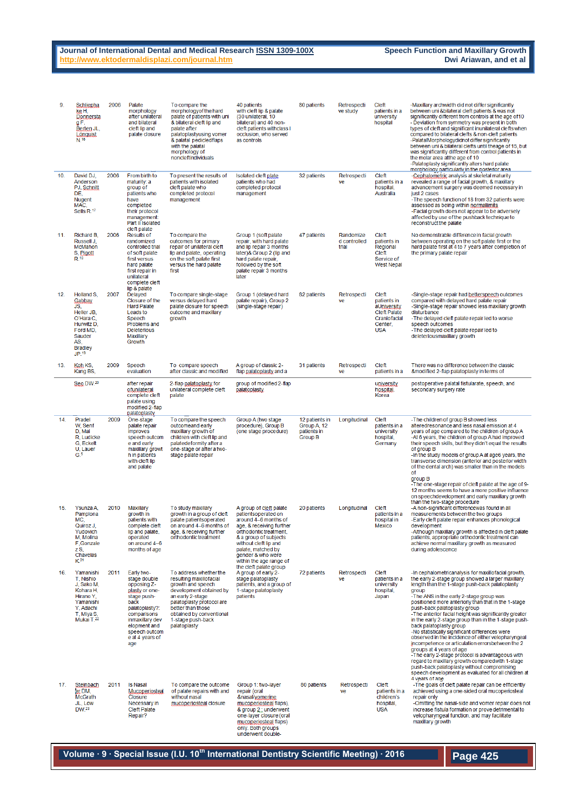#### **Journal of International Dental and Medical Research ISSN 1309-100X Speech Function and Maxillary Growth <br><u>http://www.ektodermaldisplazi.com/journal.htm</u><br>Dwi Ariawan, and et al** http://www.ektodermaldisplazi.com/journal.htm

| 9.  | Schliepha<br>ke H.<br>Donnersta<br>gF,<br>Berten JL,<br>Lönguist<br>$N^{16}$                                                             | 2006 | Palate<br>morphology<br>after unilateral<br>and bilateral<br>cleft lip and<br>palate closure                                                                                                      | To compare the<br>morphology of the hard<br>palate of patients with uni<br>& bilateral cleft lip and<br>palate after<br>palatoplastyusing vomer<br>& palatal pedicled flaps<br>with the palatal<br>morphology of<br>noncleftindividuals  | 40 patients<br>with cleft lip & palate<br>(30 unilateral, 10<br>bilateral) and 40 non-<br>cleft patients withclass I<br>occlusion, who served<br>as controls                                                                                         | 80 patients                                                    | Retrospecti<br>ve study            | Cleft<br>patients in a<br>university<br>hospital                                                    | -Maxillary archwidth did not differ significantly<br>between uni & bilateral cleft patients & was not<br>significantly different from controls at the age of 10<br>- Deviation from symmetry was present in both<br>types of cleft and significant inunilateral clefts when<br>compared to bilateral clefts & non-cleft patients<br>-PalatalMorphologydidnot differ significantly<br>between uni & bilateral clefts until theage of 15, but<br>was significantly different from control patients in<br>the molar area at the age of 10<br>-Palatoplasty significantly alters hard palate<br>morphology particularly in the posterior area                                                                                                                                                                                                              |
|-----|------------------------------------------------------------------------------------------------------------------------------------------|------|---------------------------------------------------------------------------------------------------------------------------------------------------------------------------------------------------|------------------------------------------------------------------------------------------------------------------------------------------------------------------------------------------------------------------------------------------|------------------------------------------------------------------------------------------------------------------------------------------------------------------------------------------------------------------------------------------------------|----------------------------------------------------------------|------------------------------------|-----------------------------------------------------------------------------------------------------|--------------------------------------------------------------------------------------------------------------------------------------------------------------------------------------------------------------------------------------------------------------------------------------------------------------------------------------------------------------------------------------------------------------------------------------------------------------------------------------------------------------------------------------------------------------------------------------------------------------------------------------------------------------------------------------------------------------------------------------------------------------------------------------------------------------------------------------------------------|
| 10. | David DJ,<br>Anderson<br>PJ, Schnitt<br>DE,<br><b>Nugent</b><br>MAC,<br>Sells R.17                                                       | 2006 | From birth to<br>maturity: a<br>group of<br>patients who<br>have<br>completed<br>their protocol<br>management:<br>Part II Isolated<br>cleft palate                                                | To present the results of<br>patients with isolated<br>cleft palate who<br>completed protocol<br>management                                                                                                                              | Isolated cleft plate<br>patients who had<br>completed protocol<br>management                                                                                                                                                                         | 32 patients                                                    | Retrospecti<br>ve                  | Cleft<br>patients in a<br>hospital,<br>Australia                                                    | -Cephalometric analysis at skeletal maturity<br>revealed a range of facial growth, & maxillary<br>advancement surgery was deemed necessary in<br>just 2 cases<br>-The speech function of 18 from 32 patients were<br>assessed as being within normallimits<br>-Facial growth does not appear to be adversely<br>affected by use of the pushback technique to<br>reconstruct the palate                                                                                                                                                                                                                                                                                                                                                                                                                                                                 |
| 11. | Richard B,<br>Russell J.<br>McMahon<br>S. Pigott<br>$R^{18}$                                                                             | 2006 | <b>Results of</b><br>randomized<br>controlled trial<br>of soft palate<br>first versus<br>hard palate<br>first repair in<br>unilateral<br>complete cleft                                           | To compare the<br>outcomes for primary<br>repair of unilateral cleft<br>lip and palate, operating<br>on the soft palate first<br>versus the hard palate<br>first                                                                         | Group 1 (soft palate<br>repair, with hard palate<br>and lip repair 3 months<br>later)& Group 2 (lip and<br>hard palate repair,<br>followed by the soft<br>palate repair 3 months<br>later                                                            | 47 patients                                                    | Randomize<br>d controlled<br>trial | Cleft<br>patients in<br>Regional<br>Cleft<br>Service of<br><b>West Nepal</b>                        | No demonstrable difference in facial growth<br>between operating on the soft palate first or the<br>hard palate first at 4 to 7 years after completion of<br>the primary palate repair                                                                                                                                                                                                                                                                                                                                                                                                                                                                                                                                                                                                                                                                 |
| 12. | Holland S.<br>Gabbay<br>JS,<br>Heller JB.<br>O'Hara C.<br>Hurwitz D.<br>Ford MD,<br>Sauder<br>AS,<br><b>Bradley</b><br>JP <sub>.19</sub> | 2007 | lip & palate<br>Delayed<br>Closure of the<br><b>Hard Palate</b><br>Leads to<br>Speech<br><b>Problems</b> and<br><b>Deleterious</b><br><b>Maxillary</b><br>Growth                                  | To compare single-stage<br>versus delayed hard<br>palate closure for speech<br>outcome and maxillary<br>growth                                                                                                                           | Group 1 (delayed hard<br>palate repair), Group 2<br>(single-stage repair)                                                                                                                                                                            | 82 patients                                                    | Retrospecti<br>ve                  | Cleft<br>patients in<br>aUniversity<br><b>Cleft Palate</b><br>Craniofacial<br>Center,<br><b>USA</b> | -Single-stage repair had betterspeech outcomes<br>compared with delayed hard palate repair<br>-Single-stage repair showed less maxillary growth<br>disturbance<br>-The delayed cleft palate repair led to worse<br>speech outcomes<br>-The delayed cleft palate repair led to<br>deleteriousmaxillary growth                                                                                                                                                                                                                                                                                                                                                                                                                                                                                                                                           |
| 13. | Koh KS,<br>Kang BS,                                                                                                                      | 2009 | Speech<br>evaluation                                                                                                                                                                              | To compare speech<br>after classic and modified                                                                                                                                                                                          | A group of classic 2-<br>flap palatoplasty and a                                                                                                                                                                                                     | 31 patients                                                    | Retrospecti<br>ve                  | Cleft<br>patients in a                                                                              | There was no difference between the classic<br>&modified 2-flap palatoplasty in terms of                                                                                                                                                                                                                                                                                                                                                                                                                                                                                                                                                                                                                                                                                                                                                               |
|     | Seo DW. <sup>20</sup>                                                                                                                    |      | after repair<br>ofunilateral<br>complete cleft<br>palate using<br>modified 2-flap<br><u>palatoplasty</u>                                                                                          | 2-flap palatoplasty for<br>unilateral complete cleft<br>palate                                                                                                                                                                           | group of modified 2-flap<br>palatoplasty                                                                                                                                                                                                             |                                                                |                                    | university<br>hospital,<br>Korea                                                                    | postoperative palatal fistularate, speech, and<br>secondary surgery rate                                                                                                                                                                                                                                                                                                                                                                                                                                                                                                                                                                                                                                                                                                                                                                               |
| 14. | Pradel<br>W, Senf<br>D, Mai<br>R, Ludicke<br>G, Eckelt<br>U, Lauer<br>G <sub>5</sub>                                                     | 2009 | One-stage<br>palate repair<br><i>improves</i><br>speech outcom<br>e and early<br>maxillary growt<br>h in patients<br>with cleft lip<br>and palate                                                 | To compare the speech<br>outcomeand early<br>maxillary growth of<br>children with cleft lip and<br>palatedeformity after a<br>one-stage or after a two-<br>stage palate repair                                                           | Group A (two stage<br>procedure), Group B<br>(one stage procedure)                                                                                                                                                                                   | 12 patients in<br>Group A, 12<br>patients in<br><b>Group B</b> | Longitudinal                       | Cleft<br>patients in a<br>university<br>hospital,<br>Germany                                        | -The children of group B showed less<br>alteredresonance and less nasal emission at 4<br>years of age compared to the children of group A<br>-At 6 years, the children of group A had improved<br>their speech skills, but they didn't equal the results<br>of group B<br>-In the study models of group A at age6 years, the<br>transverse dimension (anterior and posterior width<br>of the dental arch) was smaller than in the models<br>0f<br>group B<br>-The one-stage repair of cleft palate at the age of 9-<br>12 months seems to have a more positive influence<br>on speechdevelopment and early maxillary growth                                                                                                                                                                                                                            |
| 15  | Ysunza A,<br>Pamplona<br>MC.<br>Quiroz J.<br>Yudovich<br>M, Molina<br>F,Gonzale<br>zS.<br>Chavelas<br>K <sup>21</sup>                    | 2010 | Maxillary<br>arowth in<br>patients with<br>complete cleft<br>lip and palate,<br>operated<br>on around 4-6<br>months of age                                                                        | To study maxillary<br>growth in a group of cleft<br>palate patientsoperated<br>on around 4-6 months of<br>age, & receiving further<br>orthodontic treatment                                                                              | A group of cleft palate<br>patientsoperated on<br>around 4-6 months of<br>age, & receiving further<br>orthodontic treatment,<br>& a group of subjects<br>without cleft lip and<br>palate, matched by<br>gender & who were<br>within the age range of | 20 patients                                                    | Longitudinal                       | Cleft<br>patients in a<br>hospital in<br><b>Mexico</b>                                              | than the two-stage procedure<br>-A non-significant differencewas found in all<br>measurements between the two groups<br>-Early cleft palate repair enhances phonological<br>development<br>-Although maxillary growth is affected in cleft palate<br>patients, appropriate orthodontic treatment can<br>achieve normal maxillary growth as measured<br>during adolescence                                                                                                                                                                                                                                                                                                                                                                                                                                                                              |
| 16. | Yamanishi<br>T, Nishio<br>J, Sako M,<br>Kohara H.<br>Hirano Y.<br>Yamanishi<br>Y, Adachi<br>T, Miya S,<br>Mukai T.22                     | 2011 | Early two-<br>stage double<br>opposing Z-<br>plasty or one-<br>stage push-<br>back<br>palatoplasty?:<br>comparisons<br>inmaxillary dev<br>elopment and<br>speech outcom<br>e at 4 years of<br>age | To address whether the<br>resulting maxillofacial<br>growth and speech<br>development obtained by<br>an early 2-stage<br>palatoplasty protocol are<br>better than those<br>obtained by conventional<br>1-stage push-back<br>palatoplasty | the cleft palate group<br>A group of early 2-<br>stage palatoplasty<br>patients, and a group of<br>1-stage palatoplasty<br>patients                                                                                                                  | 72 patients                                                    | Retrospecti<br>ve                  | Cleft<br>patients in a<br>university<br>hospital,<br>Japan                                          | -In cephalometricanalysis for maxillofacial growth,<br>the early 2-stage group showed a larger maxillary<br>length than the 1-stage push-back palatoplasty<br>group<br>-The ANS in the early 2-stage group was<br>positioned more anteriorly than that in the 1-stage<br>push-back palatoplasty group<br>-The anterior facial height was significantly greater<br>in the early 2-stage group than in the 1-stage push-<br>back palatoplasty group<br>-No statistically significant differences were<br>observed in the incidence of either velopharyngeal<br>incompetence or articulation errorsbetween the 2<br>groups at 4 years of age<br>-The early 2-stage protocol is advantageous with<br>regard to maxillary growth comparedwith 1-stage<br>push-back palatoplasty without compromising<br>speech development as evaluated for all children at |
| 17. | Steinbach<br>er DM,<br><b>McGrath</b><br>JL, Low<br>DW. <sup>23</sup>                                                                    | 2011 | <b>Is Nasal</b><br>Mucoperiosteal<br>Closure<br>Necessary in<br><b>Cleft Palate</b><br>Repair?                                                                                                    | To compare the outcome<br>of palate repairs with and<br>without nasal<br>mucoperiosteal closure                                                                                                                                          | Group 1: two-layer<br>repair (oral<br>&nasal/vomerine<br>mucoperiosteal flaps),<br>& group 2: underwent<br>one-layer closure (oral<br>mucoperiosteal flaps)<br>only. Both groups<br>underwent double-                                                | 80 patients                                                    | Retrospecti<br>ve                  | Cleft<br>patients in a<br>children's<br>hospital,<br><b>USA</b>                                     | 4 years of age<br>-The goals of cleft palate repair can be efficiently<br>achieved using a one-sided oral mucoperiosteal<br>repair only<br>-Omitting the nasal-side and vomer repair does not<br>increase fistula formation or prove detrimental to<br>velopharyngeal function, and may facilitate<br>maxillary growth                                                                                                                                                                                                                                                                                                                                                                                                                                                                                                                                 |

**Volume ∙ 9 ∙ Special Issue (I.U. 10th International Dentistry Scientific Meeting) ∙ 2016**

**Page 425**